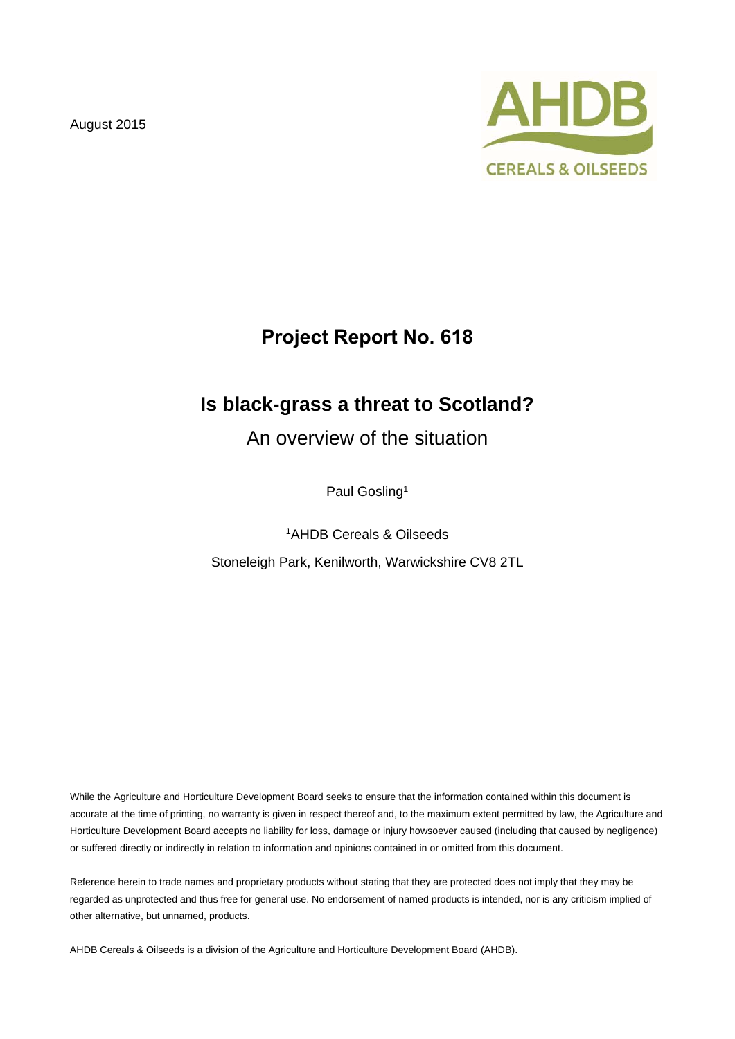August 2015



# **Project Report No. 618**

# **Is black-grass a threat to Scotland?**

An overview of the situation

Paul Gosling<sup>1</sup>

<sup>1</sup>AHDB Cereals & Oilseeds Stoneleigh Park, Kenilworth, Warwickshire CV8 2TL

While the Agriculture and Horticulture Development Board seeks to ensure that the information contained within this document is accurate at the time of printing, no warranty is given in respect thereof and, to the maximum extent permitted by law, the Agriculture and Horticulture Development Board accepts no liability for loss, damage or injury howsoever caused (including that caused by negligence) or suffered directly or indirectly in relation to information and opinions contained in or omitted from this document.

Reference herein to trade names and proprietary products without stating that they are protected does not imply that they may be regarded as unprotected and thus free for general use. No endorsement of named products is intended, nor is any criticism implied of other alternative, but unnamed, products.

AHDB Cereals & Oilseeds is a division of the Agriculture and Horticulture Development Board (AHDB).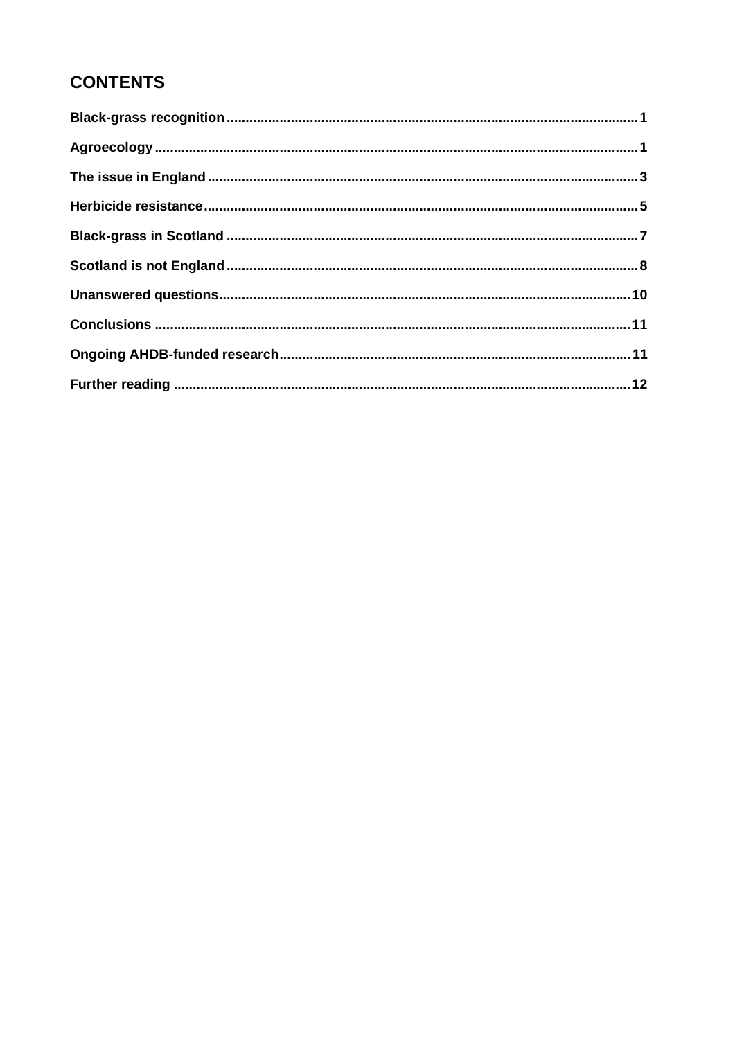# **CONTENTS**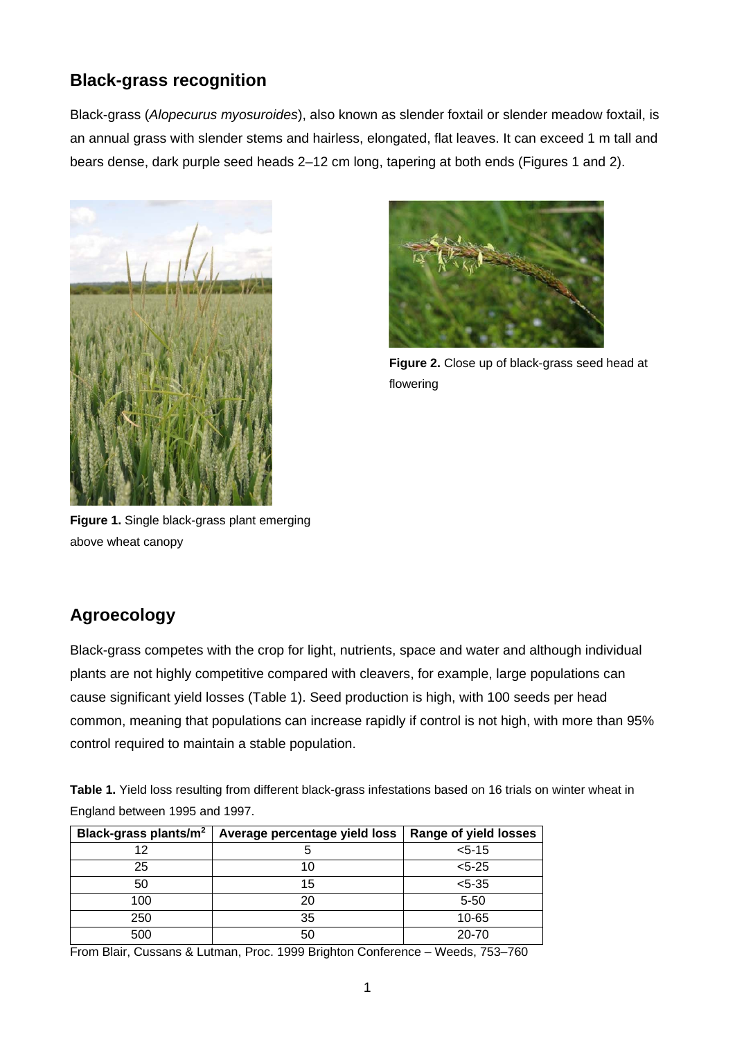## **Black-grass recognition**

Black-grass (*Alopecurus myosuroides*), also known as slender foxtail or slender meadow foxtail, is an annual grass with slender stems and hairless, elongated, flat leaves. It can exceed 1 m tall and bears dense, dark purple seed heads 2–12 cm long, tapering at both ends (Figures 1 and 2).





**Figure 2.** Close up of black-grass seed head at flowering

**Figure 1.** Single black-grass plant emerging above wheat canopy

## **Agroecology**

Black-grass competes with the crop for light, nutrients, space and water and although individual plants are not highly competitive compared with cleavers, for example, large populations can cause significant yield losses (Table 1). Seed production is high, with 100 seeds per head common, meaning that populations can increase rapidly if control is not high, with more than 95% control required to maintain a stable population.

**Table 1.** Yield loss resulting from different black-grass infestations based on 16 trials on winter wheat in England between 1995 and 1997.

| Black-grass plants/m <sup>2</sup> | Average percentage yield loss | <b>Range of yield losses</b> |
|-----------------------------------|-------------------------------|------------------------------|
| 12                                |                               | $< 5 - 15$                   |
| 25                                |                               | $< 5 - 25$                   |
| 50                                | 15                            | $< 5 - 35$                   |
| 100                               | 20                            | $5 - 50$                     |
| 250                               | 35                            | $10 - 65$                    |
| 500                               |                               | $20 - 70$                    |

From Blair, Cussans & Lutman, Proc. 1999 Brighton Conference – Weeds, 753–760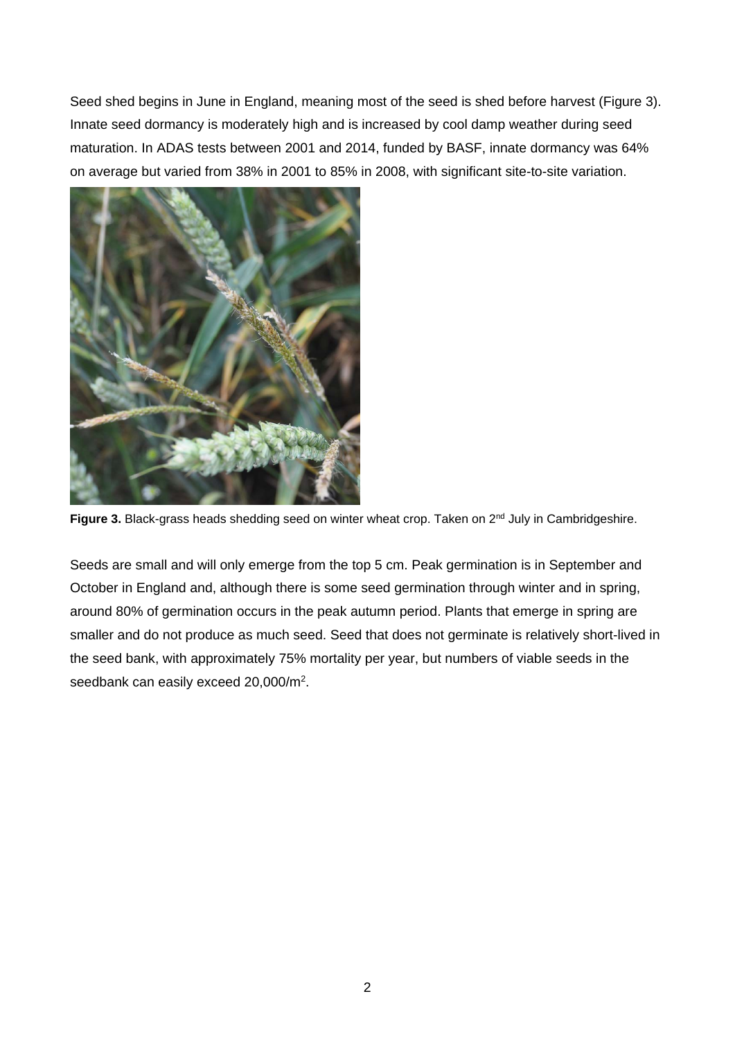Seed shed begins in June in England, meaning most of the seed is shed before harvest (Figure 3). Innate seed dormancy is moderately high and is increased by cool damp weather during seed maturation. In ADAS tests between 2001 and 2014, funded by BASF, innate dormancy was 64% on average but varied from 38% in 2001 to 85% in 2008, with significant site-to-site variation.



Figure 3. Black-grass heads shedding seed on winter wheat crop. Taken on 2<sup>nd</sup> July in Cambridgeshire.

Seeds are small and will only emerge from the top 5 cm. Peak germination is in September and October in England and, although there is some seed germination through winter and in spring, around 80% of germination occurs in the peak autumn period. Plants that emerge in spring are smaller and do not produce as much seed. Seed that does not germinate is relatively short-lived in the seed bank, with approximately 75% mortality per year, but numbers of viable seeds in the seedbank can easily exceed 20,000/m2.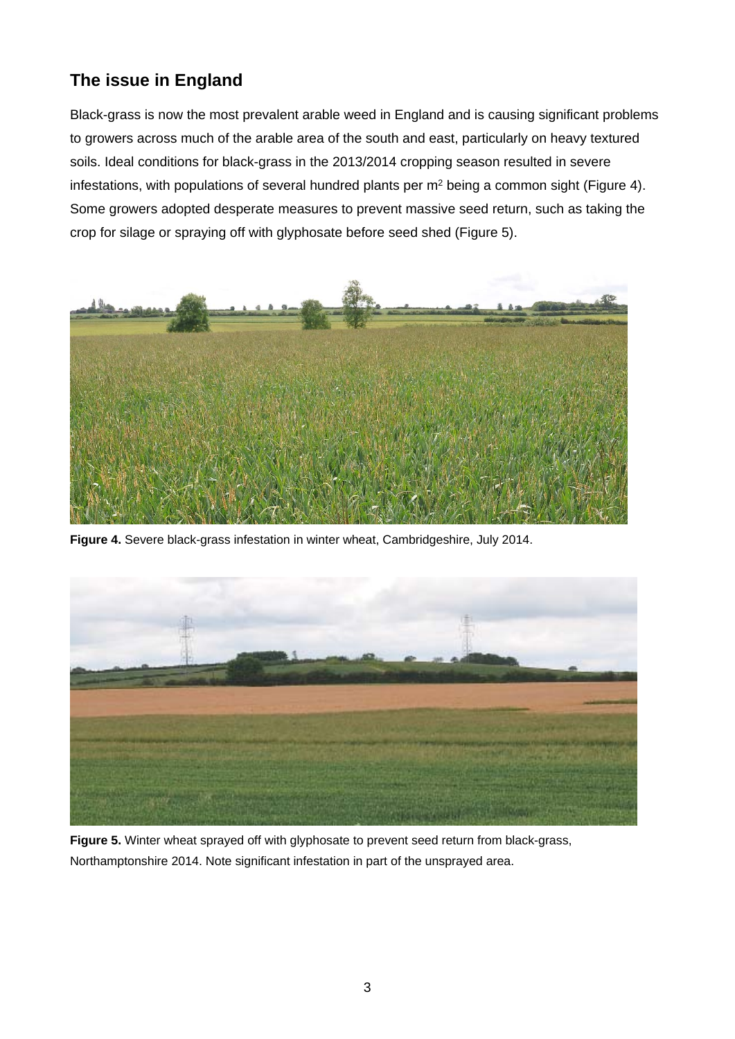# **The issue in England**

Black-grass is now the most prevalent arable weed in England and is causing significant problems to growers across much of the arable area of the south and east, particularly on heavy textured soils. Ideal conditions for black-grass in the 2013/2014 cropping season resulted in severe infestations, with populations of several hundred plants per  $m<sup>2</sup>$  being a common sight (Figure 4). Some growers adopted desperate measures to prevent massive seed return, such as taking the crop for silage or spraying off with glyphosate before seed shed (Figure 5).



**Figure 4.** Severe black-grass infestation in winter wheat, Cambridgeshire, July 2014.



**Figure 5.** Winter wheat sprayed off with glyphosate to prevent seed return from black-grass, Northamptonshire 2014. Note significant infestation in part of the unsprayed area.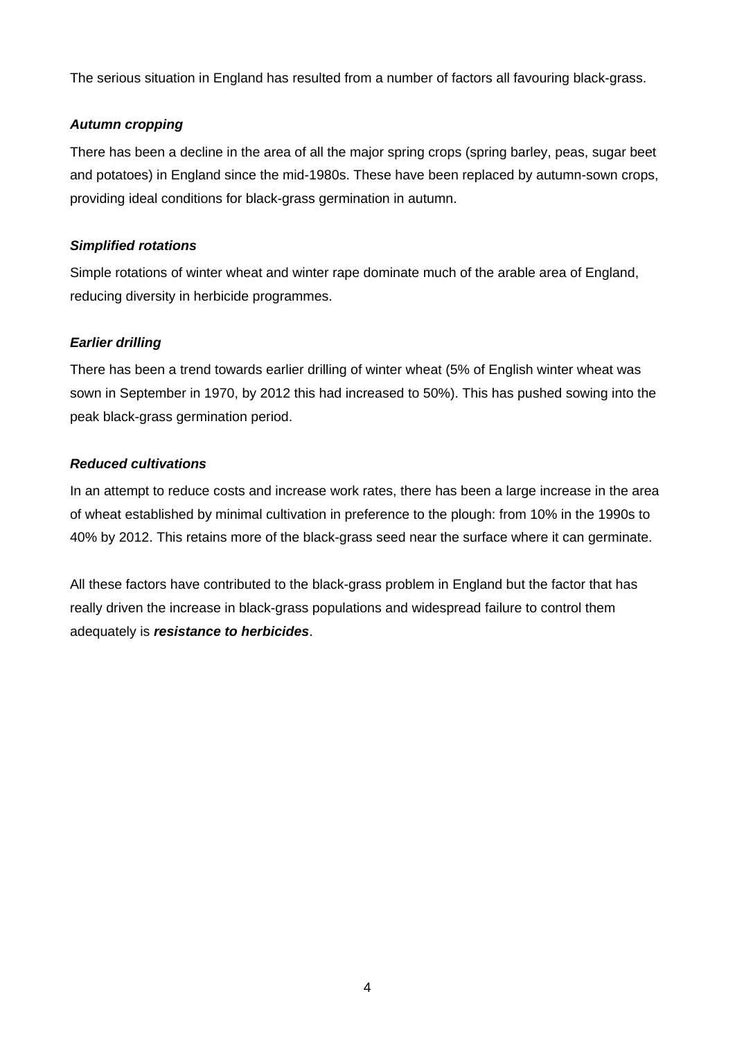The serious situation in England has resulted from a number of factors all favouring black-grass.

#### *Autumn cropping*

There has been a decline in the area of all the major spring crops (spring barley, peas, sugar beet and potatoes) in England since the mid-1980s. These have been replaced by autumn-sown crops, providing ideal conditions for black-grass germination in autumn.

#### *Simplified rotations*

Simple rotations of winter wheat and winter rape dominate much of the arable area of England, reducing diversity in herbicide programmes.

#### *Earlier drilling*

There has been a trend towards earlier drilling of winter wheat (5% of English winter wheat was sown in September in 1970, by 2012 this had increased to 50%). This has pushed sowing into the peak black-grass germination period.

#### *Reduced cultivations*

In an attempt to reduce costs and increase work rates, there has been a large increase in the area of wheat established by minimal cultivation in preference to the plough: from 10% in the 1990s to 40% by 2012. This retains more of the black-grass seed near the surface where it can germinate.

All these factors have contributed to the black-grass problem in England but the factor that has really driven the increase in black-grass populations and widespread failure to control them adequately is *resistance to herbicides*.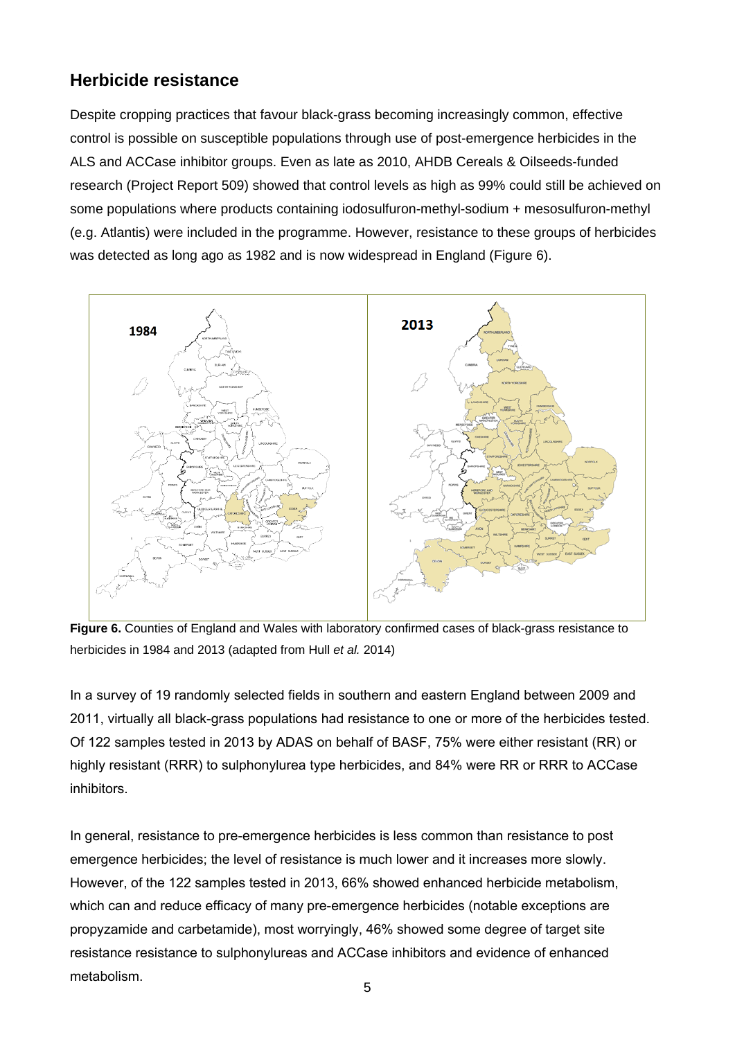## **Herbicide resistance**

Despite cropping practices that favour black-grass becoming increasingly common, effective control is possible on susceptible populations through use of post-emergence herbicides in the ALS and ACCase inhibitor groups. Even as late as 2010, AHDB Cereals & Oilseeds-funded research (Project Report 509) showed that control levels as high as 99% could still be achieved on some populations where products containing iodosulfuron-methyl-sodium + mesosulfuron-methyl (e.g. Atlantis) were included in the programme. However, resistance to these groups of herbicides was detected as long ago as 1982 and is now widespread in England (Figure 6).



**Figure 6.** Counties of England and Wales with laboratory confirmed cases of black-grass resistance to herbicides in 1984 and 2013 (adapted from Hull *et al.* 2014)

In a survey of 19 randomly selected fields in southern and eastern England between 2009 and 2011, virtually all black-grass populations had resistance to one or more of the herbicides tested. Of 122 samples tested in 2013 by ADAS on behalf of BASF, 75% were either resistant (RR) or highly resistant (RRR) to sulphonylurea type herbicides, and 84% were RR or RRR to ACCase inhibitors.

In general, resistance to pre-emergence herbicides is less common than resistance to post emergence herbicides; the level of resistance is much lower and it increases more slowly. However, of the 122 samples tested in 2013, 66% showed enhanced herbicide metabolism, which can and reduce efficacy of many pre-emergence herbicides (notable exceptions are propyzamide and carbetamide), most worryingly, 46% showed some degree of target site resistance resistance to sulphonylureas and ACCase inhibitors and evidence of enhanced metabolism.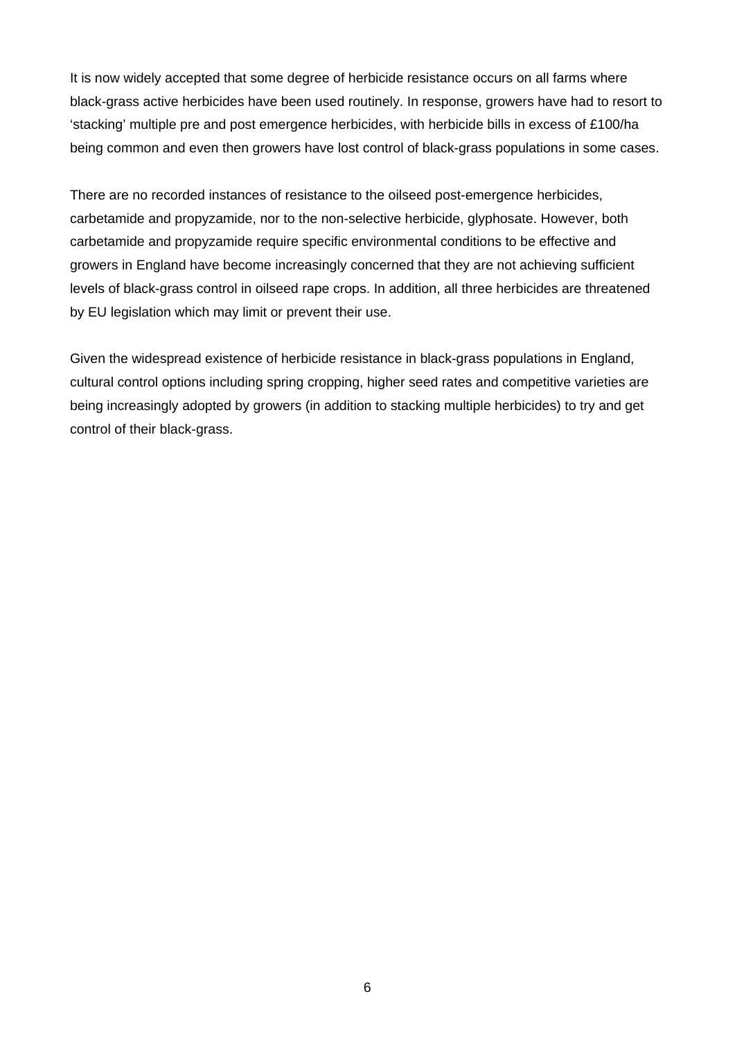It is now widely accepted that some degree of herbicide resistance occurs on all farms where black-grass active herbicides have been used routinely. In response, growers have had to resort to 'stacking' multiple pre and post emergence herbicides, with herbicide bills in excess of £100/ha being common and even then growers have lost control of black-grass populations in some cases.

There are no recorded instances of resistance to the oilseed post-emergence herbicides, carbetamide and propyzamide, nor to the non-selective herbicide, glyphosate. However, both carbetamide and propyzamide require specific environmental conditions to be effective and growers in England have become increasingly concerned that they are not achieving sufficient levels of black-grass control in oilseed rape crops. In addition, all three herbicides are threatened by EU legislation which may limit or prevent their use.

Given the widespread existence of herbicide resistance in black-grass populations in England, cultural control options including spring cropping, higher seed rates and competitive varieties are being increasingly adopted by growers (in addition to stacking multiple herbicides) to try and get control of their black-grass.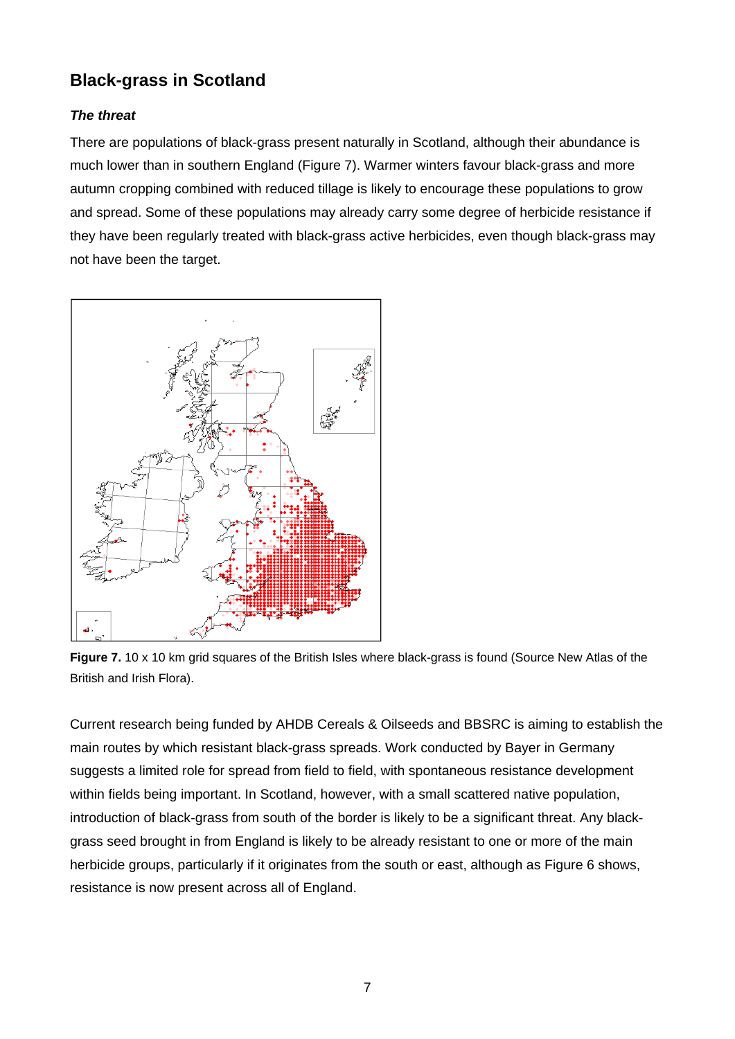# **Black-grass in Scotland**

#### *The threat*

There are populations of black-grass present naturally in Scotland, although their abundance is much lower than in southern England (Figure 7). Warmer winters favour black-grass and more autumn cropping combined with reduced tillage is likely to encourage these populations to grow and spread. Some of these populations may already carry some degree of herbicide resistance if they have been regularly treated with black-grass active herbicides, even though black-grass may not have been the target.



**Figure 7.** 10 x 10 km grid squares of the British Isles where black-grass is found (Source New Atlas of the British and Irish Flora).

Current research being funded by AHDB Cereals & Oilseeds and BBSRC is aiming to establish the main routes by which resistant black-grass spreads. Work conducted by Bayer in Germany suggests a limited role for spread from field to field, with spontaneous resistance development within fields being important. In Scotland, however, with a small scattered native population, introduction of black-grass from south of the border is likely to be a significant threat. Any blackgrass seed brought in from England is likely to be already resistant to one or more of the main herbicide groups, particularly if it originates from the south or east, although as Figure 6 shows, resistance is now present across all of England.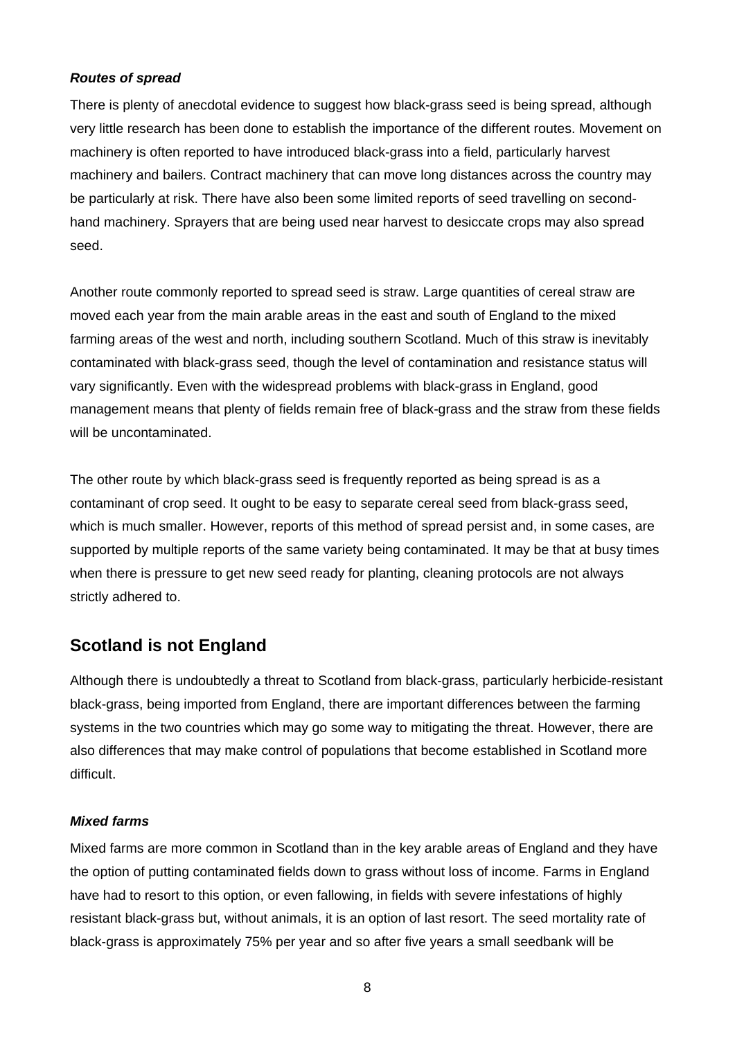#### *Routes of spread*

There is plenty of anecdotal evidence to suggest how black-grass seed is being spread, although very little research has been done to establish the importance of the different routes. Movement on machinery is often reported to have introduced black-grass into a field, particularly harvest machinery and bailers. Contract machinery that can move long distances across the country may be particularly at risk. There have also been some limited reports of seed travelling on secondhand machinery. Sprayers that are being used near harvest to desiccate crops may also spread seed.

Another route commonly reported to spread seed is straw. Large quantities of cereal straw are moved each year from the main arable areas in the east and south of England to the mixed farming areas of the west and north, including southern Scotland. Much of this straw is inevitably contaminated with black-grass seed, though the level of contamination and resistance status will vary significantly. Even with the widespread problems with black-grass in England, good management means that plenty of fields remain free of black-grass and the straw from these fields will be uncontaminated.

The other route by which black-grass seed is frequently reported as being spread is as a contaminant of crop seed. It ought to be easy to separate cereal seed from black-grass seed, which is much smaller. However, reports of this method of spread persist and, in some cases, are supported by multiple reports of the same variety being contaminated. It may be that at busy times when there is pressure to get new seed ready for planting, cleaning protocols are not always strictly adhered to.

## **Scotland is not England**

Although there is undoubtedly a threat to Scotland from black-grass, particularly herbicide-resistant black-grass, being imported from England, there are important differences between the farming systems in the two countries which may go some way to mitigating the threat. However, there are also differences that may make control of populations that become established in Scotland more difficult.

#### *Mixed farms*

Mixed farms are more common in Scotland than in the key arable areas of England and they have the option of putting contaminated fields down to grass without loss of income. Farms in England have had to resort to this option, or even fallowing, in fields with severe infestations of highly resistant black-grass but, without animals, it is an option of last resort. The seed mortality rate of black-grass is approximately 75% per year and so after five years a small seedbank will be

8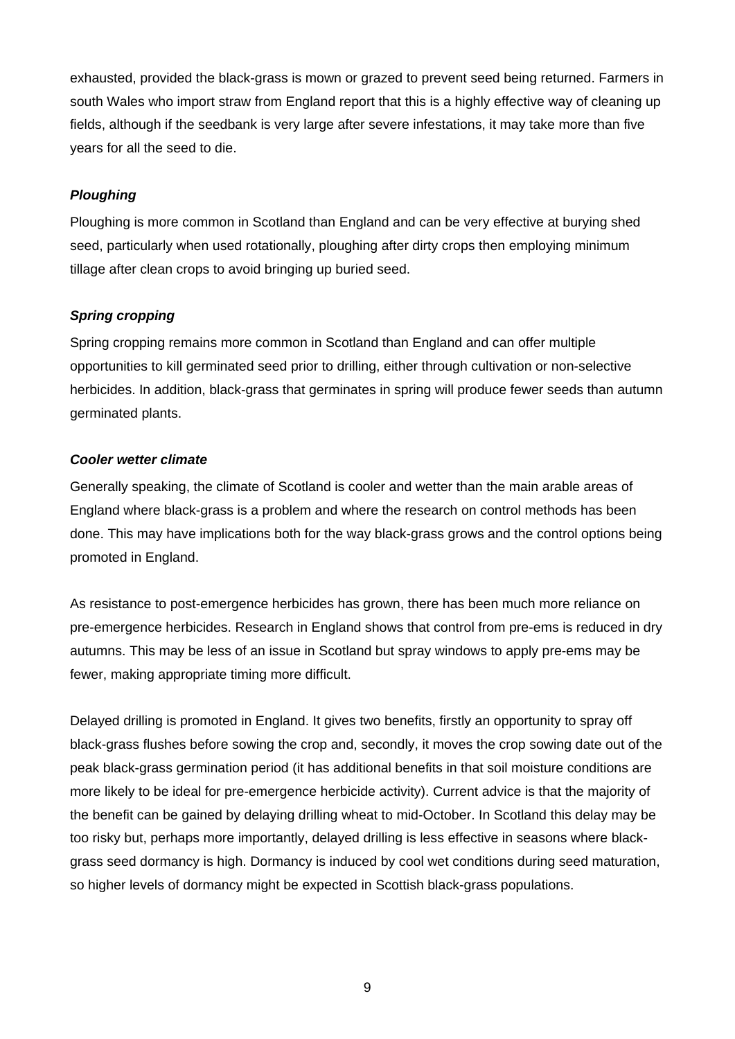exhausted, provided the black-grass is mown or grazed to prevent seed being returned. Farmers in south Wales who import straw from England report that this is a highly effective way of cleaning up fields, although if the seedbank is very large after severe infestations, it may take more than five years for all the seed to die.

#### *Ploughing*

Ploughing is more common in Scotland than England and can be very effective at burying shed seed, particularly when used rotationally, ploughing after dirty crops then employing minimum tillage after clean crops to avoid bringing up buried seed.

#### *Spring cropping*

Spring cropping remains more common in Scotland than England and can offer multiple opportunities to kill germinated seed prior to drilling, either through cultivation or non-selective herbicides. In addition, black-grass that germinates in spring will produce fewer seeds than autumn germinated plants.

#### *Cooler wetter climate*

Generally speaking, the climate of Scotland is cooler and wetter than the main arable areas of England where black-grass is a problem and where the research on control methods has been done. This may have implications both for the way black-grass grows and the control options being promoted in England.

As resistance to post-emergence herbicides has grown, there has been much more reliance on pre-emergence herbicides. Research in England shows that control from pre-ems is reduced in dry autumns. This may be less of an issue in Scotland but spray windows to apply pre-ems may be fewer, making appropriate timing more difficult.

Delayed drilling is promoted in England. It gives two benefits, firstly an opportunity to spray off black-grass flushes before sowing the crop and, secondly, it moves the crop sowing date out of the peak black-grass germination period (it has additional benefits in that soil moisture conditions are more likely to be ideal for pre-emergence herbicide activity). Current advice is that the majority of the benefit can be gained by delaying drilling wheat to mid-October. In Scotland this delay may be too risky but, perhaps more importantly, delayed drilling is less effective in seasons where blackgrass seed dormancy is high. Dormancy is induced by cool wet conditions during seed maturation, so higher levels of dormancy might be expected in Scottish black-grass populations.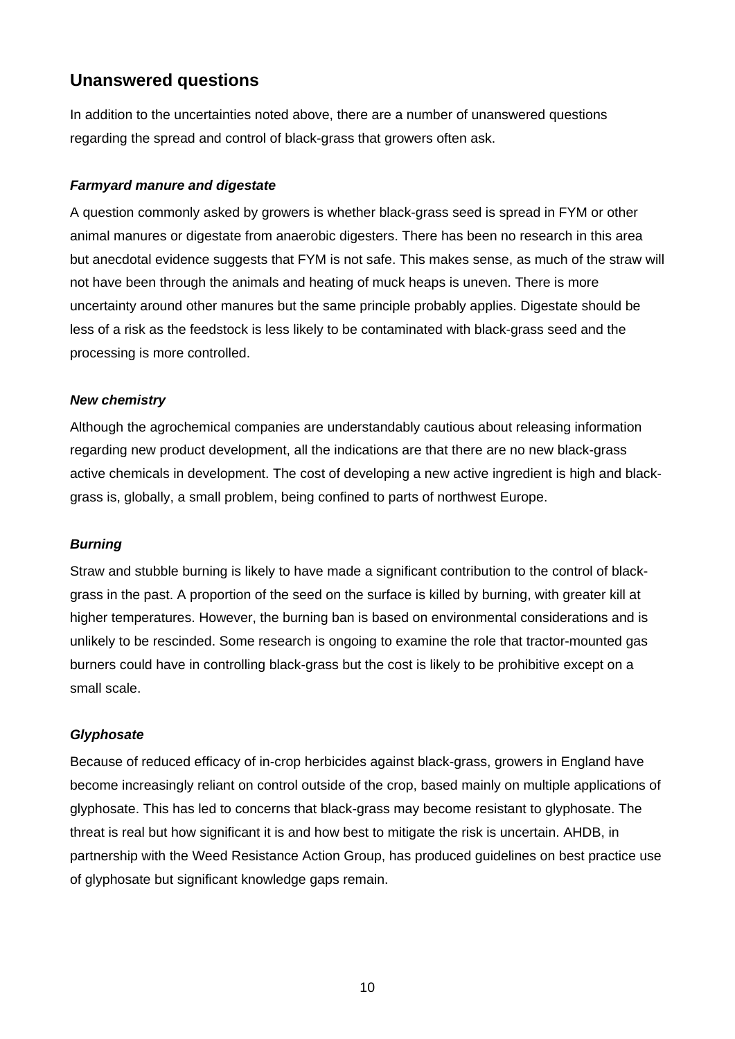## **Unanswered questions**

In addition to the uncertainties noted above, there are a number of unanswered questions regarding the spread and control of black-grass that growers often ask.

#### *Farmyard manure and digestate*

A question commonly asked by growers is whether black-grass seed is spread in FYM or other animal manures or digestate from anaerobic digesters. There has been no research in this area but anecdotal evidence suggests that FYM is not safe. This makes sense, as much of the straw will not have been through the animals and heating of muck heaps is uneven. There is more uncertainty around other manures but the same principle probably applies. Digestate should be less of a risk as the feedstock is less likely to be contaminated with black-grass seed and the processing is more controlled.

#### *New chemistry*

Although the agrochemical companies are understandably cautious about releasing information regarding new product development, all the indications are that there are no new black-grass active chemicals in development. The cost of developing a new active ingredient is high and blackgrass is, globally, a small problem, being confined to parts of northwest Europe.

#### *Burning*

Straw and stubble burning is likely to have made a significant contribution to the control of blackgrass in the past. A proportion of the seed on the surface is killed by burning, with greater kill at higher temperatures. However, the burning ban is based on environmental considerations and is unlikely to be rescinded. Some research is ongoing to examine the role that tractor-mounted gas burners could have in controlling black-grass but the cost is likely to be prohibitive except on a small scale.

#### *Glyphosate*

Because of reduced efficacy of in-crop herbicides against black-grass, growers in England have become increasingly reliant on control outside of the crop, based mainly on multiple applications of glyphosate. This has led to concerns that black-grass may become resistant to glyphosate. The threat is real but how significant it is and how best to mitigate the risk is uncertain. AHDB, in partnership with the Weed Resistance Action Group, has produced guidelines on best practice use of glyphosate but significant knowledge gaps remain.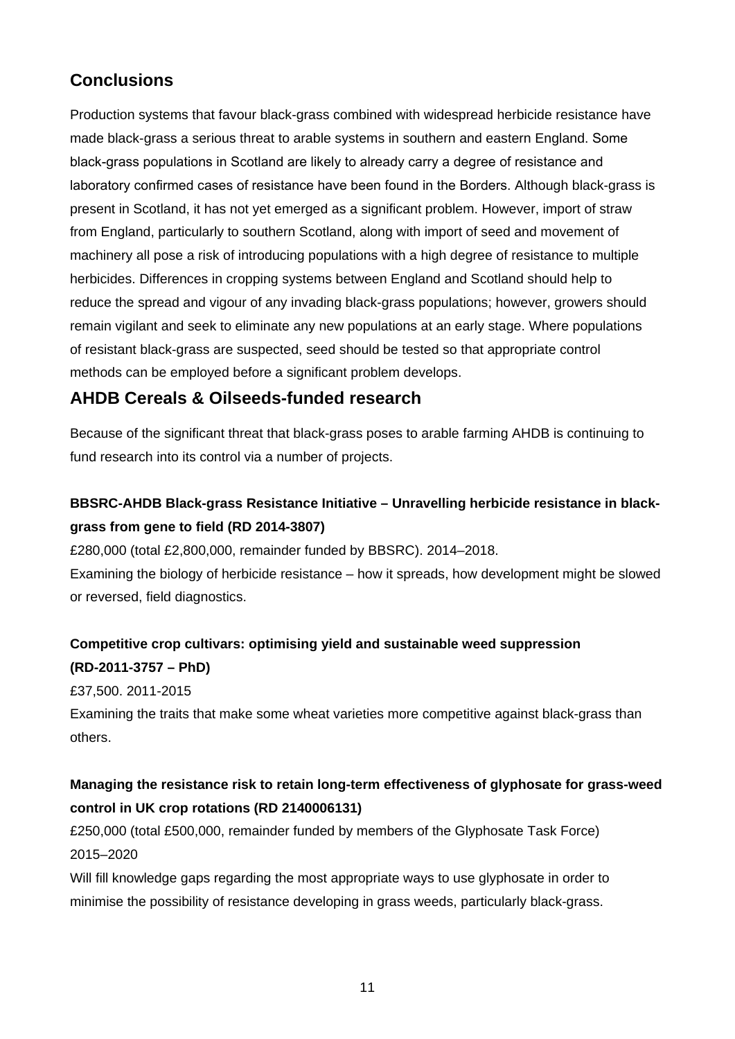## **Conclusions**

Production systems that favour black-grass combined with widespread herbicide resistance have made black-grass a serious threat to arable systems in southern and eastern England. Some black-grass populations in Scotland are likely to already carry a degree of resistance and laboratory confirmed cases of resistance have been found in the Borders. Although black-grass is present in Scotland, it has not yet emerged as a significant problem. However, import of straw from England, particularly to southern Scotland, along with import of seed and movement of machinery all pose a risk of introducing populations with a high degree of resistance to multiple herbicides. Differences in cropping systems between England and Scotland should help to reduce the spread and vigour of any invading black-grass populations; however, growers should remain vigilant and seek to eliminate any new populations at an early stage. Where populations of resistant black-grass are suspected, seed should be tested so that appropriate control methods can be employed before a significant problem develops.

## **AHDB Cereals & Oilseeds-funded research**

Because of the significant threat that black-grass poses to arable farming AHDB is continuing to fund research into its control via a number of projects.

## **BBSRC-AHDB Black-grass Resistance Initiative – Unravelling herbicide resistance in blackgrass from gene to field (RD 2014-3807)**

£280,000 (total £2,800,000, remainder funded by BBSRC). 2014–2018.

Examining the biology of herbicide resistance – how it spreads, how development might be slowed or reversed, field diagnostics.

# **Competitive crop cultivars: optimising yield and sustainable weed suppression**

**(RD-2011-3757 – PhD)** 

£37,500. 2011-2015

Examining the traits that make some wheat varieties more competitive against black-grass than others.

### **Managing the resistance risk to retain long-term effectiveness of glyphosate for grass-weed control in UK crop rotations (RD 2140006131)**

£250,000 (total £500,000, remainder funded by members of the Glyphosate Task Force) 2015–2020

Will fill knowledge gaps regarding the most appropriate ways to use glyphosate in order to minimise the possibility of resistance developing in grass weeds, particularly black-grass.